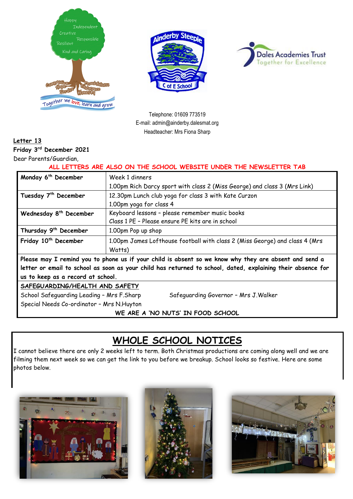





Telephone: 01609 773519 E-mail: admin@ainderby.dalesmat.org Headteacher: Mrs Fiona Sharp

### **Letter 13**

**Friday 3 rd December 2021**

Dear Parents/Guardian,

**ALL LETTERS ARE ALSO ON THE SCHOOL WEBSITE UNDER THE NEWSLETTER TAB**

| Monday 6 <sup>th</sup> December                                                                             | Week 1 dinners                                                              |  |
|-------------------------------------------------------------------------------------------------------------|-----------------------------------------------------------------------------|--|
|                                                                                                             | 1.00pm Rich Darcy sport with class 2 (Miss George) and class 3 (Mrs Link)   |  |
| Tuesday 7 <sup>th</sup> December                                                                            | 12.30pm Lunch club yoga for class 3 with Kate Curzon                        |  |
|                                                                                                             | 1.00pm yoga for class 4                                                     |  |
| Wednesday 8 <sup>th</sup> December                                                                          | Keyboard lessons - please remember music books                              |  |
|                                                                                                             | Class 1 PE - Please ensure PE kits are in school                            |  |
| Thursday 9 <sup>th</sup> December                                                                           | 1.00pm Pop up shop                                                          |  |
| Friday 10 <sup>th</sup> December                                                                            | 1.00pm James Lofthouse football with class 2 (Miss George) and class 4 (Mrs |  |
|                                                                                                             | Watts)                                                                      |  |
| Please may I remind you to phone us if your child is absent so we know why they are absent and send a       |                                                                             |  |
| letter or email to school as soon as your child has returned to school, dated, explaining their absence for |                                                                             |  |
| us to keep as a record at school.                                                                           |                                                                             |  |
| SAFEGUARDING/HEALTH AND SAFETY                                                                              |                                                                             |  |
| School Safeguarding Leading - Mrs F.Sharp<br>Safeguarding Governor - Mrs J. Walker                          |                                                                             |  |
| Special Needs Co-ordinator - Mrs N.Huyton                                                                   |                                                                             |  |
| WE ARE A 'NO NUTS' IN FOOD SCHOOL                                                                           |                                                                             |  |

## **WHOLE SCHOOL NOTICES**

I cannot believe there are only 2 weeks left to term. Both Christmas productions are coming along well and we are filming them next week so we can get the link to you before we breakup. School looks so festive. Here are some photos below.





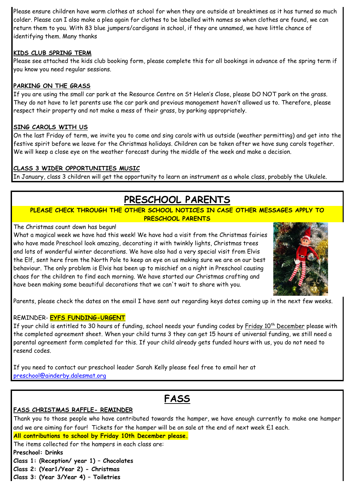Please ensure children have warm clothes at school for when they are outside at breaktimes as it has turned so much colder. Please can I also make a plea again for clothes to be labelled with names so when clothes are found, we can return them to you. With 83 blue jumpers/cardigans in school, if they are unnamed, we have little chance of identifying them. Many thanks

#### **KIDS CLUB SPRING TERM**

Please see attached the kids club booking form, please complete this for all bookings in advance of the spring term if you know you need regular sessions.

#### **PARKING ON THE GRASS**

If you are using the small car park at the Resource Centre on St Helen's Close, please DO NOT park on the grass. They do not have to let parents use the car park and previous management haven't allowed us to. Therefore, please respect their property and not make a mess of their grass, by parking appropriately.

#### **SING CAROLS WITH US**

On the last Friday of term, we invite you to come and sing carols with us outside (weather permitting) and get into the festive spirit before we leave for the Christmas holidays. Children can be taken after we have sung carols together. We will keep a close eye on the weather forecast during the middle of the week and make a decision.

#### **CLASS 3 WIDER OPPORTUNITIES MUSIC**

In January, class 3 children will get the opportunity to learn an instrument as a whole class, probably the Ukulele.

# **PRESCHOOL PARENTS**

#### **PLEASE CHECK THROUGH THE OTHER SCHOOL NOTICES IN CASE OTHER MESSAGES APPLY TO PRESCHOOL PARENTS**

#### The Christmas count down has begun!

What a magical week we have had this week! We have had a visit from the Christmas fairies who have made Preschool look amazing, decorating it with twinkly lights, Christmas trees and lots of wonderful winter decorations. We have also had a very special visit from Elvis the Elf, sent here from the North Pole to keep an eye on us making sure we are on our best behaviour. The only problem is Elvis has been up to mischief on a night in Preschool causing chaos for the children to find each morning. We have started our Christmas crafting and have been making some beautiful decorations that we can't wait to share with you.



Parents, please check the dates on the email I have sent out regarding keys dates coming up in the next few weeks.

#### REMINDER- **EYFS FUNDING-URGENT**

If your child is entitled to 30 hours of funding, school needs your funding codes by Friday 10<sup>th</sup> December please with the completed agreement sheet. When your child turns 3 they can get 15 hours of universal funding, we still need a parental agreement form completed for this. If your child already gets funded hours with us, you do not need to resend codes.

If you need to contact our preschool leader Sarah Kelly please feel free to email her at [preschool@ainderby.dalesmat.org](mailto:preschool@ainderby.dalesmat.org)

**FASS**

#### **FASS CHRISTMAS RAFFLE- REMINDER**

Thank you to those people who have contributed towards the hamper, we have enough currently to make one hamper and we are aiming for four! Tickets for the hamper will be on sale at the end of next week £1 each. **All contributions to school by Friday 10th December please.** The items collected for the hampers in each class are: **Preschool: Drinks Class 1: (Reception/ year 1) – Chocolates Class 2: (Year1/Year 2) - Christmas**

**Class 3: (Year 3/Year 4) – Toiletries**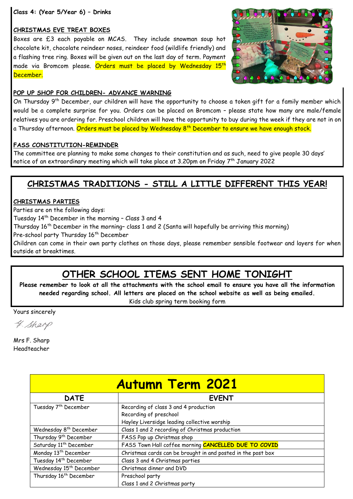**Class 4: (Year 5/Year 6) – Drinks** 

#### **CHRISTMAS EVE TREAT BOXES**

Boxes are £3 each payable on MCAS. They include snowman soup hot chocolate kit, chocolate reindeer noses, reindeer food (wildlife friendly) and a flashing tree ring. Boxes will be given out on the last day of term. Payment made via Bromcom please. Orders must be placed by Wednesday 15<sup>th</sup> December.



#### **POP UP SHOP FOR CHILDREN- ADVANCE WARNING**

On Thursday 9<sup>th</sup> December, our children will have the opportunity to choose a token gift for a family member which would be a complete surprise for you. Orders can be placed on Bromcom – please state how many are male/female relatives you are ordering for. Preschool children will have the opportunity to buy during the week if they are not in on a Thursday afternoon. <mark>Orders must be placed by Wednesday 8<sup>th</sup> December to ensure we have enough stock.</mark>

#### **FASS CONSTITUTION-REMINDER**

The committee are planning to make some changes to their constitution and as such, need to give people 30 days' notice of an extraordinary meeting which will take place at 3.20pm on Friday  $7^{\rm th}$  January 2022

### **CHRISTMAS TRADITIONS - STILL A LITTLE DIFFERENT THIS YEAR!**

#### **CHRISTMAS PARTIES**

Parties are on the following days:

Tuesday 14 th December in the morning – Class 3 and 4

Thursday 16<sup>th</sup> December in the morning- class 1 and 2 (Santa will hopefully be arriving this morning)

Pre-school party Thursday 16<sup>th</sup> December

Children can come in their own party clothes on those days, please remember sensible footwear and layers for when outside at breaktimes.

## **OTHER SCHOOL ITEMS SENT HOME TONIGHT**

**Please remember to look at all the attachments with the school email to ensure you have all the information needed regarding school. All letters are placed on the school website as well as being emailed.** Kids club spring term booking form

Yours sincerely

4. Sharp

Mrs F. Sharp Headteacher

| <b>Autumn Term 2021</b>             |                                                              |
|-------------------------------------|--------------------------------------------------------------|
| <b>DATE</b>                         | <b>EVENT</b>                                                 |
| Tuesday 7 <sup>th</sup> December    | Recording of class 3 and 4 production                        |
|                                     | Recording of preschool                                       |
|                                     | Hayley Liversidge leading collective worship                 |
| Wednesday 8 <sup>th</sup> December  | Class 1 and 2 recording of Christmas production              |
| Thursday 9 <sup>th</sup> December   | FASS Pop up Christmas shop                                   |
| Saturday 11 <sup>th</sup> December  | FASS Town Hall coffee morning CANCELLED DUE TO COVID         |
| Monday 13 <sup>th</sup> December    | Christmas cards can be brought in and posted in the post box |
| Tuesday 14 <sup>th</sup> December   | Class 3 and 4 Christmas parties                              |
| Wednesday 15 <sup>th</sup> December | Christmas dinner and DVD                                     |
| Thursday 16 <sup>th</sup> December  | Preschool party                                              |
|                                     | Class 1 and 2 Christmas party                                |